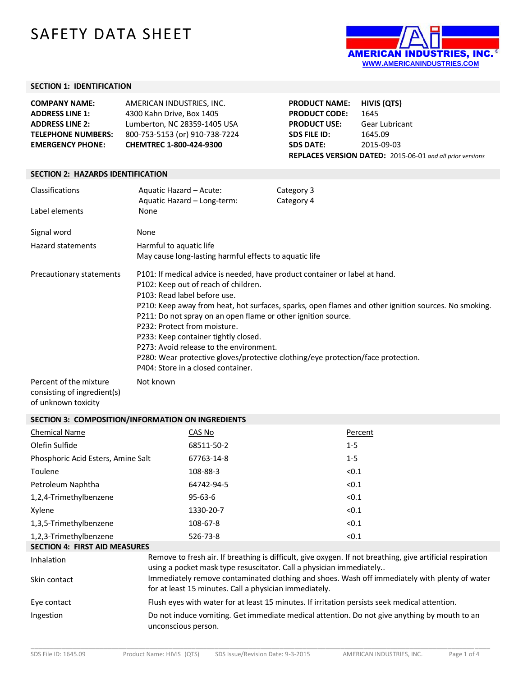# SAFETY DATA SHEET



### **SECTION 1: IDENTIFICATION**

| <b>COMPANY NAME:</b>      | AMERICAN INDUSTRIES, INC.      | <b>PRODUCT NAME:</b> | HIVIS (OTS)                                                      |
|---------------------------|--------------------------------|----------------------|------------------------------------------------------------------|
| <b>ADDRESS LINE 1:</b>    | 4300 Kahn Drive, Box 1405      | <b>PRODUCT CODE:</b> | 1645                                                             |
| <b>ADDRESS LINE 2:</b>    | Lumberton, NC 28359-1405 USA   | <b>PRODUCT USE:</b>  | Gear Lubricant                                                   |
| <b>TELEPHONE NUMBERS:</b> | 800-753-5153 (or) 910-738-7224 | SDS FILE ID:         | 1645.09                                                          |
| <b>EMERGENCY PHONE:</b>   | <b>CHEMTREC 1-800-424-9300</b> | <b>SDS DATE:</b>     | 2015-09-03                                                       |
|                           |                                |                      | <b>REPLACES VERSION DATED:</b> 2015-06-01 and all prior versions |

#### **SECTION 2: HAZARDS IDENTIFICATION**

| Classifications<br>Label elements                     | Aquatic Hazard – Acute:<br>Aquatic Hazard - Long-term:<br>None                                                                                                                                                                                                                                                                                                                | Category 3<br>Category 4                                                                                                                                                                 |
|-------------------------------------------------------|-------------------------------------------------------------------------------------------------------------------------------------------------------------------------------------------------------------------------------------------------------------------------------------------------------------------------------------------------------------------------------|------------------------------------------------------------------------------------------------------------------------------------------------------------------------------------------|
| Signal word                                           | None                                                                                                                                                                                                                                                                                                                                                                          |                                                                                                                                                                                          |
| Hazard statements                                     | Harmful to aquatic life<br>May cause long-lasting harmful effects to aquatic life                                                                                                                                                                                                                                                                                             |                                                                                                                                                                                          |
| Precautionary statements                              | P101: If medical advice is needed, have product container or label at hand.<br>P102: Keep out of reach of children.<br>P103: Read label before use.<br>P211: Do not spray on an open flame or other ignition source.<br>P232: Protect from moisture.<br>P233: Keep container tightly closed.<br>P273: Avoid release to the environment.<br>P404: Store in a closed container. | P210: Keep away from heat, hot surfaces, sparks, open flames and other ignition sources. No smoking.<br>P280: Wear protective gloves/protective clothing/eye protection/face protection. |
| Percent of the mixture<br>consisting of ingredient(s) | Not known                                                                                                                                                                                                                                                                                                                                                                     |                                                                                                                                                                                          |

of unknown toxicity

### **SECTION 3: COMPOSITION/INFORMATION ON INGREDIENTS**

| <b>Chemical Name</b>                 | CAS No                                                              | Percent                                                                                                    |
|--------------------------------------|---------------------------------------------------------------------|------------------------------------------------------------------------------------------------------------|
| Olefin Sulfide                       | 68511-50-2                                                          | $1 - 5$                                                                                                    |
| Phosphoric Acid Esters, Amine Salt   | 67763-14-8                                                          | $1 - 5$                                                                                                    |
| Toulene                              | 108-88-3                                                            | < 0.1                                                                                                      |
| Petroleum Naphtha                    | 64742-94-5                                                          | < 0.1                                                                                                      |
| 1,2,4-Trimethylbenzene               | $95 - 63 - 6$                                                       | < 0.1                                                                                                      |
| Xylene                               | 1330-20-7                                                           | < 0.1                                                                                                      |
| 1,3,5-Trimethylbenzene               | 108-67-8                                                            | < 0.1                                                                                                      |
| 1,2,3-Trimethylbenzene               | 526-73-8                                                            | < 0.1                                                                                                      |
| <b>SECTION 4: FIRST AID MEASURES</b> |                                                                     |                                                                                                            |
| Inhalation                           | using a pocket mask type resuscitator. Call a physician immediately | Remove to fresh air. If breathing is difficult, give oxygen. If not breathing, give artificial respiration |
| Skin contact                         | for at least 15 minutes. Call a physician immediately.              | Immediately remove contaminated clothing and shoes. Wash off immediately with plenty of water              |
| Eye contact                          |                                                                     | Flush eyes with water for at least 15 minutes. If irritation persists seek medical attention.              |
| Ingestion                            | unconscious person.                                                 | Do not induce vomiting. Get immediate medical attention. Do not give anything by mouth to an               |

\_\_\_\_\_\_\_\_\_\_\_\_\_\_\_\_\_\_\_\_\_\_\_\_\_\_\_\_\_\_\_\_\_\_\_\_\_\_\_\_\_\_\_\_\_\_\_\_\_\_\_\_\_\_\_\_\_\_\_\_\_\_\_\_\_\_\_\_\_\_\_\_\_\_\_\_\_\_\_\_\_\_\_\_\_\_\_\_\_\_\_\_\_\_\_\_\_\_\_\_\_\_\_\_\_\_\_\_\_\_\_\_\_\_\_\_\_\_\_\_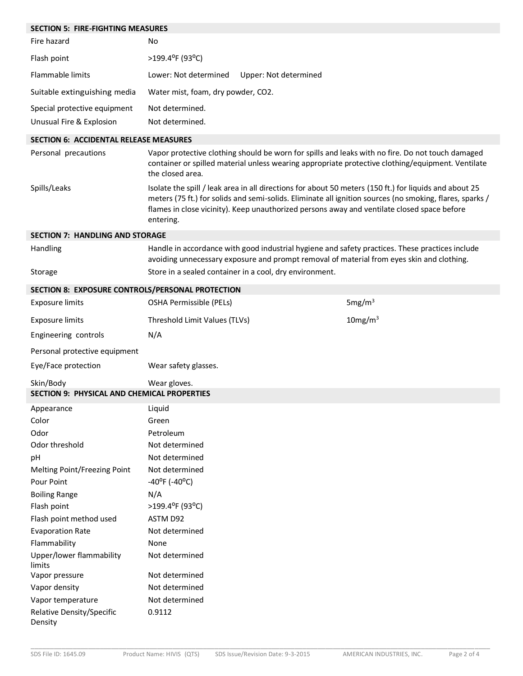| <b>SECTION 5: FIRE-FIGHTING MEASURES</b>                        |                                                                                                                                                                                                                                                                                                                                |                     |
|-----------------------------------------------------------------|--------------------------------------------------------------------------------------------------------------------------------------------------------------------------------------------------------------------------------------------------------------------------------------------------------------------------------|---------------------|
| Fire hazard                                                     | No                                                                                                                                                                                                                                                                                                                             |                     |
| Flash point                                                     | >199.4°F (93°C)                                                                                                                                                                                                                                                                                                                |                     |
| <b>Flammable limits</b>                                         | Lower: Not determined<br>Upper: Not determined                                                                                                                                                                                                                                                                                 |                     |
| Suitable extinguishing media                                    | Water mist, foam, dry powder, CO2.                                                                                                                                                                                                                                                                                             |                     |
| Special protective equipment                                    | Not determined.                                                                                                                                                                                                                                                                                                                |                     |
| Unusual Fire & Explosion                                        | Not determined.                                                                                                                                                                                                                                                                                                                |                     |
| <b>SECTION 6: ACCIDENTAL RELEASE MEASURES</b>                   |                                                                                                                                                                                                                                                                                                                                |                     |
| Personal precautions                                            | Vapor protective clothing should be worn for spills and leaks with no fire. Do not touch damaged<br>container or spilled material unless wearing appropriate protective clothing/equipment. Ventilate<br>the closed area.                                                                                                      |                     |
| Spills/Leaks                                                    | Isolate the spill / leak area in all directions for about 50 meters (150 ft.) for liquids and about 25<br>meters (75 ft.) for solids and semi-solids. Eliminate all ignition sources (no smoking, flares, sparks /<br>flames in close vicinity). Keep unauthorized persons away and ventilate closed space before<br>entering. |                     |
| <b>SECTION 7: HANDLING AND STORAGE</b>                          |                                                                                                                                                                                                                                                                                                                                |                     |
| Handling                                                        | Handle in accordance with good industrial hygiene and safety practices. These practices include<br>avoiding unnecessary exposure and prompt removal of material from eyes skin and clothing.                                                                                                                                   |                     |
| Storage                                                         | Store in a sealed container in a cool, dry environment.                                                                                                                                                                                                                                                                        |                     |
| SECTION 8: EXPOSURE CONTROLS/PERSONAL PROTECTION                |                                                                                                                                                                                                                                                                                                                                |                     |
| <b>Exposure limits</b>                                          | OSHA Permissible (PELs)                                                                                                                                                                                                                                                                                                        | 5mg/m <sup>3</sup>  |
| <b>Exposure limits</b>                                          | Threshold Limit Values (TLVs)                                                                                                                                                                                                                                                                                                  | 10mg/m <sup>3</sup> |
| Engineering controls                                            | N/A                                                                                                                                                                                                                                                                                                                            |                     |
| Personal protective equipment                                   |                                                                                                                                                                                                                                                                                                                                |                     |
| Eye/Face protection                                             | Wear safety glasses.                                                                                                                                                                                                                                                                                                           |                     |
| Skin/Body<br><b>SECTION 9: PHYSICAL AND CHEMICAL PROPERTIES</b> | Wear gloves.                                                                                                                                                                                                                                                                                                                   |                     |
| Appearance                                                      | Liquid                                                                                                                                                                                                                                                                                                                         |                     |
| Color                                                           | Green                                                                                                                                                                                                                                                                                                                          |                     |
| Odor                                                            | Petroleum                                                                                                                                                                                                                                                                                                                      |                     |
| Odor threshold                                                  | Not determined                                                                                                                                                                                                                                                                                                                 |                     |
| pH                                                              | Not determined                                                                                                                                                                                                                                                                                                                 |                     |
| Melting Point/Freezing Point                                    | Not determined                                                                                                                                                                                                                                                                                                                 |                     |
| Pour Point                                                      | $-40^{\circ}$ F ( $-40^{\circ}$ C)                                                                                                                                                                                                                                                                                             |                     |
| <b>Boiling Range</b>                                            | N/A                                                                                                                                                                                                                                                                                                                            |                     |
| Flash point                                                     | >199.4°F (93°C)                                                                                                                                                                                                                                                                                                                |                     |
| Flash point method used                                         | ASTM D92                                                                                                                                                                                                                                                                                                                       |                     |
| <b>Evaporation Rate</b>                                         | Not determined                                                                                                                                                                                                                                                                                                                 |                     |
| Flammability                                                    | None                                                                                                                                                                                                                                                                                                                           |                     |
| Upper/lower flammability<br>limits                              | Not determined                                                                                                                                                                                                                                                                                                                 |                     |
| Vapor pressure                                                  | Not determined                                                                                                                                                                                                                                                                                                                 |                     |
| Vapor density                                                   | Not determined                                                                                                                                                                                                                                                                                                                 |                     |
| Vapor temperature                                               | Not determined                                                                                                                                                                                                                                                                                                                 |                     |
| Relative Density/Specific<br>Density                            | 0.9112                                                                                                                                                                                                                                                                                                                         |                     |

\_\_\_\_\_\_\_\_\_\_\_\_\_\_\_\_\_\_\_\_\_\_\_\_\_\_\_\_\_\_\_\_\_\_\_\_\_\_\_\_\_\_\_\_\_\_\_\_\_\_\_\_\_\_\_\_\_\_\_\_\_\_\_\_\_\_\_\_\_\_\_\_\_\_\_\_\_\_\_\_\_\_\_\_\_\_\_\_\_\_\_\_\_\_\_\_\_\_\_\_\_\_\_\_\_\_\_\_\_\_\_\_\_\_\_\_\_\_\_\_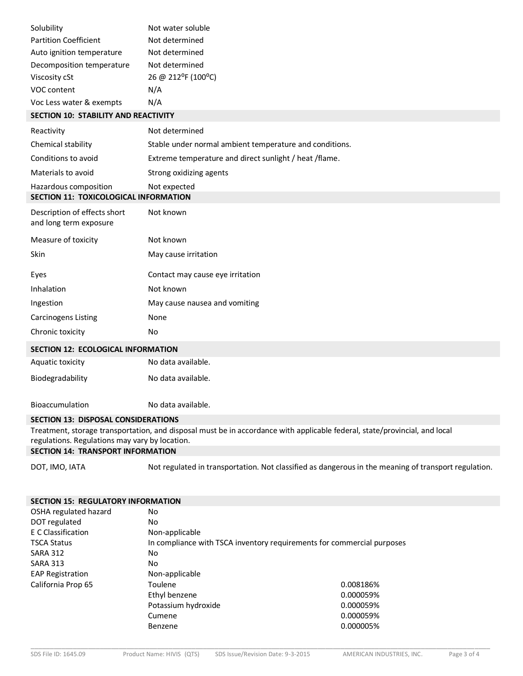| Solubility                                  | Not water soluble  |
|---------------------------------------------|--------------------|
| <b>Partition Coefficient</b>                | Not determined     |
| Auto ignition temperature                   | Not determined     |
| Decomposition temperature                   | Not determined     |
| Viscosity cSt                               | 26 @ 212°F (100°C) |
| VOC content                                 | N/A                |
| Voc Less water & exempts                    | N/A                |
| <b>SECTION 10: STABILITY AND REACTIVITY</b> |                    |
| Reactivity                                  | Not determined     |

| Chemical stability                                             | Stable under normal ambient temperature and conditions. |
|----------------------------------------------------------------|---------------------------------------------------------|
| Conditions to avoid                                            | Extreme temperature and direct sunlight / heat / flame. |
| Materials to avoid                                             | Strong oxidizing agents                                 |
| Hazardous composition<br>SECTION 11: TOXICOLOGICAL INFORMATION | Not expected                                            |
| Description of effects short<br>and long term exposure         | Not known                                               |
| Measure of toxicity                                            | Not known                                               |
| Skin                                                           | May cause irritation                                    |
| Eyes                                                           | Contact may cause eye irritation                        |
| Inhalation                                                     | Not known                                               |
| Ingestion                                                      | May cause nausea and vomiting                           |
| <b>Carcinogens Listing</b>                                     | None                                                    |
| Chronic toxicity                                               | No                                                      |
| <b>SECTION 12: ECOLOGICAL INFORMATION</b>                      |                                                         |
| Aquatic toxicity                                               | No data available.                                      |

Bioaccumulation No data available.

## **SECTION 13: DISPOSAL CONSIDERATIONS**

Biodegradability No data available.

Treatment, storage transportation, and disposal must be in accordance with applicable federal, state/provincial, and local regulations. Regulations may vary by location.

## **SECTION 14: TRANSPORT INFORMATION**

DOT, IMO, IATA Not regulated in transportation. Not classified as dangerous in the meaning of transport regulation.

| <b>SECTION 15: REGULATORY INFORMATION</b> |                                                                        |           |
|-------------------------------------------|------------------------------------------------------------------------|-----------|
| OSHA regulated hazard                     | No.                                                                    |           |
| DOT regulated                             | No                                                                     |           |
| E C Classification                        | Non-applicable                                                         |           |
| <b>TSCA Status</b>                        | In compliance with TSCA inventory requirements for commercial purposes |           |
| <b>SARA 312</b>                           | No                                                                     |           |
| <b>SARA 313</b>                           | No                                                                     |           |
| <b>EAP Registration</b>                   | Non-applicable                                                         |           |
| California Prop 65                        | Toulene                                                                | 0.008186% |
|                                           | Ethyl benzene                                                          | 0.000059% |
|                                           | Potassium hydroxide                                                    | 0.000059% |
|                                           | Cumene                                                                 | 0.000059% |
|                                           | Benzene                                                                | 0.000005% |